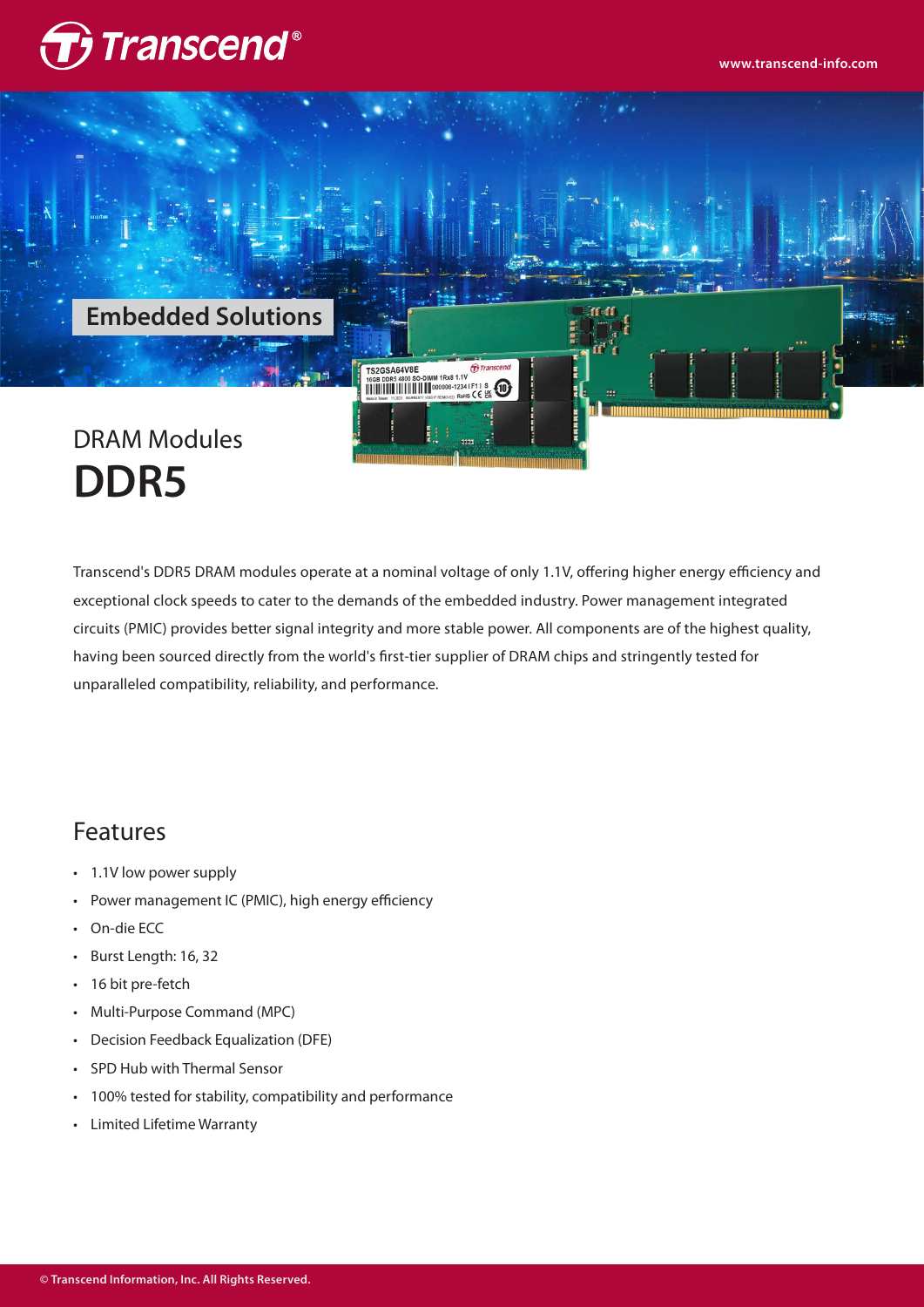





# Transcend's DDR5 DRAM modules operate at a nominal voltage of only 1.1V, offering higher energy efficiency and

exceptional clock speeds to cater to the demands of the embedded industry. Power management integrated circuits (PMIC) provides better signal integrity and more stable power. All components are of the highest quality, having been sourced directly from the world's first-tier supplier of DRAM chips and stringently tested for unparalleled compatibility, reliability, and performance.

### Features

- 1.1V low power supply •
- Power management IC (PMIC), high energy efficiency •
- On-die ECC •
- Burst Length: 16, 32 •
- 16 bit pre-fetch •
- Multi-Purpose Command (MPC) •
- Decision Feedback Equalization (DFE) •
- SPD Hub with Thermal Sensor •
- 100% tested for stability, compatibility and performance •
- Limited Lifetime Warranty •